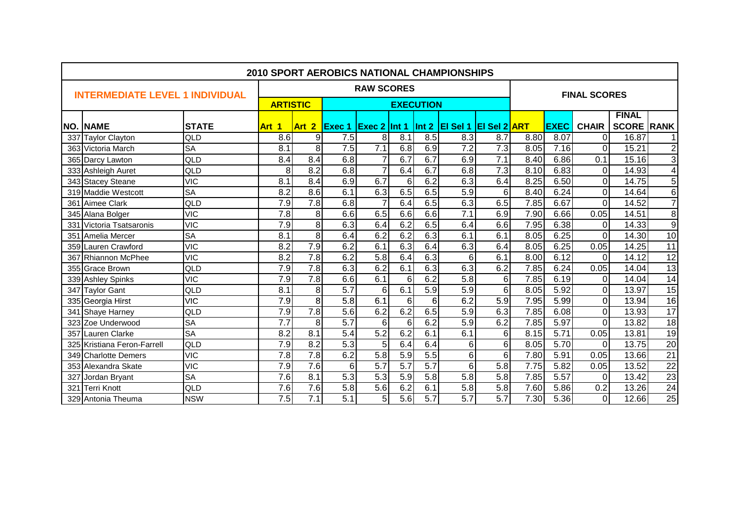|     |                                        |              |                  |                  |                  |                     |                  |                  | <b>2010 SPORT AEROBICS NATIONAL CHAMPIONSHIPS</b> |                     |      |             |                     |                   |                         |
|-----|----------------------------------------|--------------|------------------|------------------|------------------|---------------------|------------------|------------------|---------------------------------------------------|---------------------|------|-------------|---------------------|-------------------|-------------------------|
|     | <b>INTERMEDIATE LEVEL 1 INDIVIDUAL</b> |              |                  |                  |                  | <b>RAW SCORES</b>   |                  |                  |                                                   |                     |      |             | <b>FINAL SCORES</b> |                   |                         |
|     |                                        |              | <b>ARTISTIC</b>  |                  |                  |                     |                  | <b>EXECUTION</b> |                                                   |                     |      |             |                     |                   |                         |
|     |                                        |              |                  |                  |                  |                     |                  |                  |                                                   |                     |      |             |                     | <b>FINAL</b>      |                         |
|     | <b>NO. NAME</b>                        | <b>STATE</b> | Art 1            | Art 2            | <b>Exec 1</b>    | <b>Exec 2 Int 1</b> |                  | Int 2            | El Sel 1                                          | <b>EI Sel 2 ART</b> |      | <b>EXEC</b> | <b>CHAIR</b>        | <b>SCORE RANK</b> |                         |
|     | 337 Taylor Clayton                     | QLD          | 8.6              | 9                | 7.5              | 8                   | 8.1              | 8.5              | 8.3                                               | 8.7                 | 8.80 | 8.07        | $\Omega$            | 16.87             | $\mathbf{1}$            |
|     | 363 Victoria March                     | <b>SA</b>    | 8.1              | 8                | 7.5              | $\overline{7.1}$    | 6.8              | 6.9              | 7.2                                               | 7.3                 | 8.05 | 7.16        | $\overline{0}$      | 15.21             | دا دی                   |
|     | 365 Darcy Lawton                       | QLD          | 8.4              | 8.4              | 6.8              | $\overline{7}$      | 6.7              | 6.7              | 6.9                                               | 7.1                 | 8.40 | 6.86        | 0.1                 | 15.16             |                         |
|     | 333 Ashleigh Auret                     | QLD          | 8                | 8.2              | 6.8              | $\overline{7}$      | 6.4              | 6.7              | 6.8                                               | $\overline{7.3}$    | 8.10 | 6.83        | $\overline{0}$      | 14.93             | $\overline{\mathbf{A}}$ |
|     | 343 Stacey Steane                      | <b>VIC</b>   | 8.1              | 8.4              | 6.9              | 6.7                 | 6                | 6.2              | 6.3                                               | 6.4                 | 8.25 | 6.50        | $\Omega$            | 14.75             | $\overline{5}$          |
|     | 319 Maddie Westcott                    | <b>SA</b>    | 8.2              | 8.6              | 6.1              | 6.3                 | 6.5              | 6.5              | 5.9                                               | 6 <sup>1</sup>      | 8.40 | 6.24        | $\Omega$            | 14.64             | $\overline{6}$          |
| 361 | Aimee Clark                            | QLD          | 7.9              | $\overline{7.8}$ | 6.8              | $\overline{7}$      | 6.4              | 6.5              | 6.3                                               | 6.5                 | 7.85 | 6.67        | $\overline{0}$      | 14.52             | $\overline{7}$          |
|     | 345 Alana Bolger                       | <b>VIC</b>   | 7.8              | 8                | 6.6              | 6.5                 | 6.6              | 6.6              | 7.1                                               | 6.9                 | 7.90 | 6.66        | 0.05                | 14.51             | $\overline{8}$          |
| 331 | Victoria Tsatsaronis                   | <b>VIC</b>   | 7.9              | $\infty$         | 6.3              | 6.4                 | 6.2              | 6.5              | 6.4                                               | 6.6                 | 7.95 | 6.38        | $\Omega$            | 14.33             | $\overline{9}$          |
| 351 | Amelia Mercer                          | <b>SA</b>    | 8.1              | 8                | 6.4              | 6.2                 | 6.2              | 6.3              | 6.1                                               | 6.1                 | 8.05 | 6.25        | $\Omega$            | 14.30             | 10                      |
|     | 359 Lauren Crawford                    | <b>VIC</b>   | 8.2              | 7.9              | 6.2              | 6.1                 | 6.3              | 6.4              | 6.3                                               | 6.4                 | 8.05 | 6.25        | 0.05                | 14.25             | 11                      |
|     | 367 Rhiannon McPhee                    | <b>VIC</b>   | 8.2              | 7.8              | 6.2              | 5.8                 | 6.4              | 6.3              | 6                                                 | 6.1                 | 8.00 | 6.12        | $\Omega$            | 14.12             | $\overline{12}$         |
|     | 355 Grace Brown                        | QLD          | $\overline{7.9}$ | 7.8              | 6.3              | 6.2                 | 6.1              | 6.3              | 6.3                                               | 6.2                 | 7.85 | 6.24        | 0.05                | 14.04             | $\overline{13}$         |
|     | 339 Ashley Spinks                      | <b>VIC</b>   | $\overline{7.9}$ | 7.8              | 6.6              | 6.1                 | 6                | 6.2              | 5.8                                               | $6 \mid$            | 7.85 | 6.19        | $\Omega$            | 14.04             | 14                      |
| 347 | <b>Taylor Gant</b>                     | QLD          | 8.1              | 8                | $\overline{5.7}$ | 6                   | 6.1              | 5.9              | $\overline{5.9}$                                  | 6 <sup>1</sup>      | 8.05 | 5.92        | $\Omega$            | 13.97             | 15                      |
| 335 | Georgia Hirst                          | <b>VIC</b>   | 7.9              | $\overline{8}$   | 5.8              | 6.1                 | 6                | 6                | 6.2                                               | 5.9                 | 7.95 | 5.99        | $\Omega$            | 13.94             | $\overline{16}$         |
|     | 341 Shaye Harney                       | QLD          | 7.9              | $\overline{7.8}$ | 5.6              | 6.2                 | 6.2              | 6.5              | 5.9                                               | 6.3                 | 7.85 | 6.08        | $\Omega$            | 13.93             | 17                      |
|     | 323 Zoe Underwood                      | <b>SA</b>    | $\overline{7.7}$ | $\overline{8}$   | 5.7              | $\overline{6}$      | $\overline{6}$   | 6.2              | $\overline{5.9}$                                  | 6.2                 | 7.85 | 5.97        | $\overline{0}$      | 13.82             | 18                      |
| 357 | Lauren Clarke                          | <b>SA</b>    | 8.2              | 8.1              | $\overline{5.4}$ | $\overline{5.2}$    | 6.2              | 6.1              | 6.1                                               | 6 <sup>1</sup>      | 8.15 | 5.71        | 0.05                | 13.81             | 19                      |
|     | 325 Kristiana Feron-Farrell            | QLD          | $\overline{7.9}$ | 8.2              | 5.3              | $\overline{5}$      | 6.4              | 6.4              | 6                                                 | 6 <sup>1</sup>      | 8.05 | 5.70        | $\overline{0}$      | 13.75             | $\overline{20}$         |
|     | 349 Charlotte Demers                   | <b>VIC</b>   | 7.8              | 7.8              | 6.2              | $\overline{5.8}$    | 5.9              | 5.5              | 6                                                 | 6 <sup>1</sup>      | 7.80 | 5.91        | 0.05                | 13.66             | $\overline{21}$         |
|     | 353 Alexandra Skate                    | <b>VIC</b>   | 7.9              | 7.6              | $6 \mid$         | $\overline{5.7}$    | $\overline{5.7}$ | 5.7              | 6                                                 | 5.8                 | 7.75 | 5.82        | 0.05                | 13.52             | $\overline{22}$         |
| 327 | Jordan Bryant                          | <b>SA</b>    | 7.6              | 8.1              | 5.3              | 5.3                 | 5.9              | 5.8              | 5.8                                               | 5.8                 | 7.85 | 5.57        | $\overline{0}$      | 13.42             | 23                      |
| 321 | <b>Terri Knott</b>                     | QLD          | 7.6              | 7.6              | 5.8              | 5.6                 | 6.2              | 6.1              | 5.8                                               | 5.8                 | 7.60 | 5.86        | 0.2                 | 13.26             | 24                      |
|     | 329 Antonia Theuma                     | <b>NSW</b>   | 7.5              | $\overline{7.1}$ | $\overline{5.1}$ | 5                   | 5.6              | $\overline{5.7}$ | $\overline{5.7}$                                  | $\overline{5.7}$    | 7.30 | 5.36        | $\Omega$            | 12.66             | $\overline{25}$         |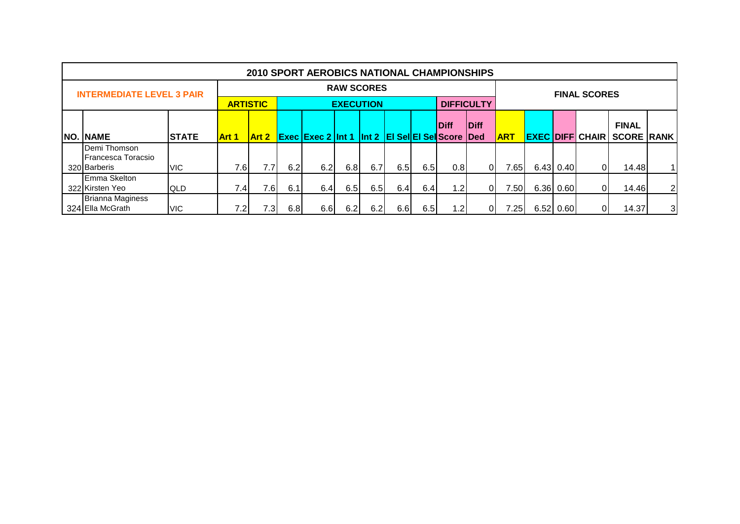|                                  |              |                  |                                                                               |     | <b>2010 SPORT AEROBICS NATIONAL CHAMPIONSHIPS</b> |                   |      |     |      |     |                   |            |             |                     |                                   |   |
|----------------------------------|--------------|------------------|-------------------------------------------------------------------------------|-----|---------------------------------------------------|-------------------|------|-----|------|-----|-------------------|------------|-------------|---------------------|-----------------------------------|---|
| <b>INTERMEDIATE LEVEL 3 PAIR</b> |              |                  |                                                                               |     |                                                   | <b>RAW SCORES</b> |      |     |      |     |                   |            |             | <b>FINAL SCORES</b> |                                   |   |
|                                  |              |                  | <b>ARTISTIC</b>                                                               |     |                                                   | <b>EXECUTION</b>  |      |     |      |     | <b>DIFFICULTY</b> |            |             |                     |                                   |   |
|                                  |              |                  | Diff<br><b>Diff</b><br><b>Exec Exec 2 Int 1 Int 2 EI Sel EI Sel Score Ded</b> |     |                                                   |                   |      |     |      |     |                   |            |             |                     | <b>FINAL</b>                      |   |
| <b>NO. NAME</b>                  | <b>STATE</b> | Art 1            | Art 2                                                                         |     |                                                   |                   |      |     |      |     |                   | <b>ART</b> |             |                     | <b>EXEC DIFF CHAIR SCORE RANK</b> |   |
| Demi Thomson                     |              |                  |                                                                               |     |                                                   |                   |      |     |      |     |                   |            |             |                     |                                   |   |
| Francesca Toracsio               |              |                  |                                                                               |     |                                                   |                   |      |     |      |     |                   |            |             |                     |                                   |   |
| 320 Barberis                     | <b>VIC</b>   | 7.6              | 7.7                                                                           | 6.2 | 6.2                                               | 6.8               | 6.7  | 6.5 | 6.5I | 0.8 | $\overline{0}$    | 7.65       | 6.43 0.40   | ΩI                  | 14.48                             |   |
| Emma Skelton                     |              |                  |                                                                               |     |                                                   |                   |      |     |      |     |                   |            |             |                     |                                   |   |
| 322 Kirsten Yeo                  | <b>QLD</b>   | 7.4              | 7.6I                                                                          | 6.1 | 6.4                                               | 6.5               | 6.5  | 6.4 | 6.4  | 1.2 | $\overline{0}$    | 7.50       | 6.36 0.60   | ΩI                  | 14.46                             | 2 |
| <b>Brianna Maginess</b>          |              |                  |                                                                               |     |                                                   |                   |      |     |      |     |                   |            |             |                     |                                   |   |
| 324 Ella McGrath                 | <b>VIC</b>   | 7.2 <sub>l</sub> | 7.3                                                                           | 6.8 | 6.6                                               | 6.2               | 6.21 | 6.6 | 6.5I | 1.2 | ΟI                | 7.25I      | 6.52   0.60 |                     | 14.37                             | 3 |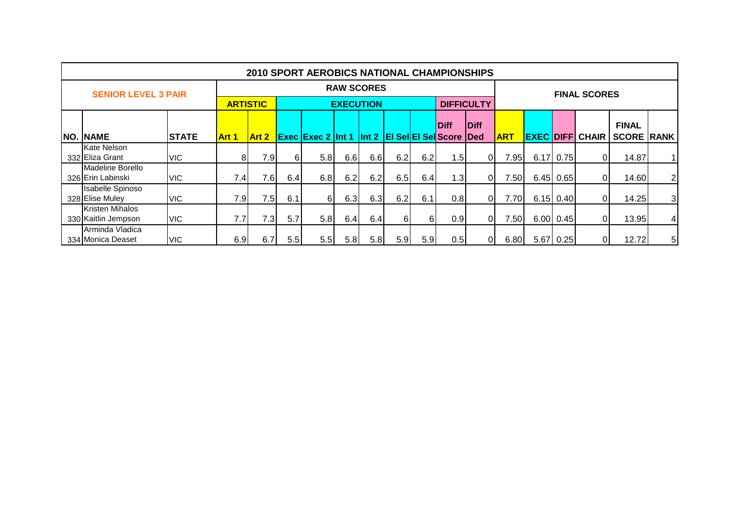|                                               |              |                 |              |     | <b>2010 SPORT AEROBICS NATIONAL CHAMPIONSHIPS</b> |                   |     |                  |     |             |                   |            |                  |             |                     |                   |                 |
|-----------------------------------------------|--------------|-----------------|--------------|-----|---------------------------------------------------|-------------------|-----|------------------|-----|-------------|-------------------|------------|------------------|-------------|---------------------|-------------------|-----------------|
| <b>SENIOR LEVEL 3 PAIR</b>                    |              |                 |              |     |                                                   | <b>RAW SCORES</b> |     |                  |     |             |                   |            |                  |             | <b>FINAL SCORES</b> |                   |                 |
|                                               |              | <b>ARTISTIC</b> |              |     |                                                   | <b>EXECUTION</b>  |     |                  |     |             | <b>DIFFICULTY</b> |            |                  |             |                     |                   |                 |
|                                               |              |                 |              |     |                                                   |                   |     |                  |     | <b>Diff</b> | <b>Diff</b>       |            |                  |             |                     | <b>FINAL</b>      |                 |
| NO. NAME                                      | <b>STATE</b> | <b>Art 1</b>    | <b>Art 2</b> |     | Exec Exec 2 Int 1 Int 2 EI Sel EI Sel Score Ded   |                   |     |                  |     |             |                   | <b>ART</b> | <b>EXEC DIFF</b> |             | <b>CHAIR</b>        | <b>SCORE RANK</b> |                 |
| Kate Nelson                                   |              |                 |              |     |                                                   |                   |     |                  |     |             |                   |            |                  |             |                     |                   |                 |
| 332 Eliza Grant                               | <b>VIC</b>   | 8               | 7.9          | 61  | 5.8                                               | 6.6               | 6.6 | 6.2              | 6.2 | 1.5         | 01                | 7.95       | 6.17             | 0.75        |                     | 14.87             | 11              |
| Madeline Borello                              |              |                 |              |     |                                                   |                   |     |                  |     |             |                   |            |                  |             |                     |                   |                 |
| 326 Erin Labinski                             | <b>VIC</b>   | 7.4             | 7.6          | 6.4 | 6.8                                               | 6.2               | 6.2 | 6.5              | 6.4 | 1.3         | 0I                | 7.50       |                  | $6.45$ 0.65 |                     | 14.60             | $\overline{2}$  |
| <b>Isabelle Spinoso</b>                       |              | 7.9             | 7.5          |     |                                                   |                   | 6.3 |                  |     |             |                   |            |                  | $6.15$ 0.40 |                     | 14.25             | $\overline{3}$  |
| 328 Elise Muley                               | <b>VIC</b>   |                 |              | 6.1 | 61                                                | 6.3               |     | 6.2              | 6.1 | 0.8         | 0I                | 7.70       |                  |             |                     |                   |                 |
| <b>Kristen Mihalos</b><br>330 Kaitlin Jempson | <b>VIC</b>   | 7.7             | 7.3I         | 5.7 | 5.8                                               | 6.4               | 6.4 | 6I               | 61  | 0.9         | 01                | 7.50       |                  | 6.00 0.45   |                     | 13.95             | $\vert 4 \vert$ |
| Arminda Vladica<br>334 Monica Deaset          | <b>VIC</b>   | 6.9             | 6.7          | 5.5 | 5.5                                               | 5.8               | 5.8 | 5.9 <sub>1</sub> | 5.9 | 0.5         | 01                | 6.80       |                  | 5.67 0.25   |                     | 12.72             | 5 <sub>l</sub>  |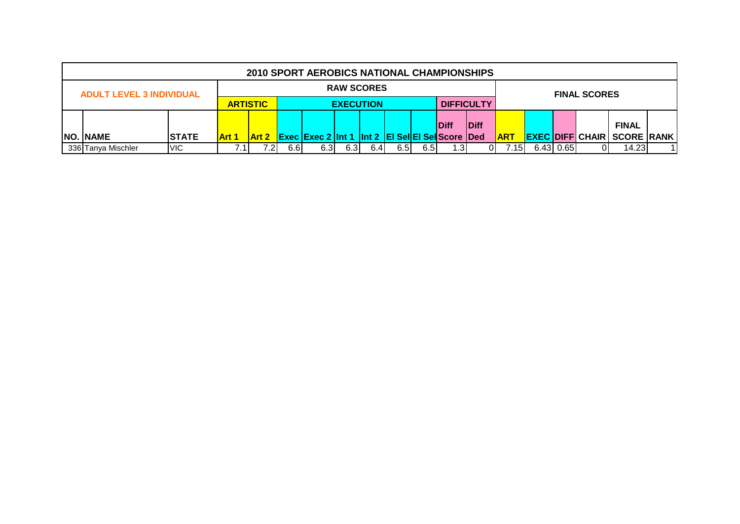|                                                          |              |              |                                                                                                |     | 2010 SPORT AEROBICS NATIONAL CHAMPIONSHIPS |                   |     |      |     |      |    |               |           |                     |                                   |  |
|----------------------------------------------------------|--------------|--------------|------------------------------------------------------------------------------------------------|-----|--------------------------------------------|-------------------|-----|------|-----|------|----|---------------|-----------|---------------------|-----------------------------------|--|
| <b>ADULT LEVEL 3 INDIVIDUAL</b>                          |              |              |                                                                                                |     |                                            | <b>RAW SCORES</b> |     |      |     |      |    |               |           | <b>FINAL SCORES</b> |                                   |  |
| <b>ARTISTIC</b><br><b>DIFFICULTY</b><br><b>EXECUTION</b> |              |              |                                                                                                |     |                                            |                   |     |      |     |      |    |               |           |                     |                                   |  |
|                                                          |              |              |                                                                                                |     |                                            |                   |     |      |     |      |    |               |           |                     | <b>FINAL</b>                      |  |
| <b>NO. NAME</b>                                          | <b>STATE</b> | <b>Art 1</b> | Diff<br><b>Diff</b><br><b>Exec Exec 2 Int 1 Int 2 EI Sel EI Sell</b> Score Ded<br><b>Art 2</b> |     |                                            |                   |     |      |     |      |    |               |           |                     | <b>EXEC DIFF CHAIR SCORE RANK</b> |  |
| 336 Tanya Mischler                                       | VIC.         |              |                                                                                                | 6.6 | 6.3                                        | 6.3               | 6.4 | 6.5I | 6.5 | 1.3' | 01 | $.15^{\circ}$ | 6.43 0.65 |                     | 14.23                             |  |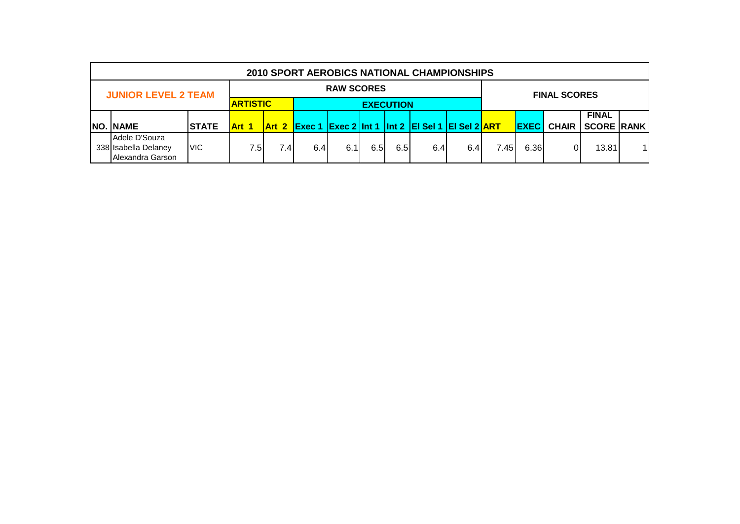|                            |                   |                 |                  |     |     |                     |                  | <b>2010 SPORT AEROBICS NATIONAL CHAMPIONSHIPS</b>            |     |      |             |              |                   |    |
|----------------------------|-------------------|-----------------|------------------|-----|-----|---------------------|------------------|--------------------------------------------------------------|-----|------|-------------|--------------|-------------------|----|
| <b>JUNIOR LEVEL 2 TEAM</b> | <b>RAW SCORES</b> |                 |                  |     |     | <b>FINAL SCORES</b> |                  |                                                              |     |      |             |              |                   |    |
|                            |                   | <b>ARTISTIC</b> |                  |     |     |                     | <b>EXECUTION</b> |                                                              |     |      |             |              |                   |    |
|                            |                   |                 |                  |     |     |                     |                  |                                                              |     |      |             |              | <b>FINAL</b>      |    |
| <b>NO. NAME</b>            | <b>STATE</b>      | <b>Art 1</b>    |                  |     |     |                     |                  | <b>Art 2 Exec 1 Exec 2 Int 1 Int 2 EI Sel 1 EI Sel 2 ART</b> |     |      | <b>EXEC</b> | <b>CHAIR</b> | <b>SCORE RANK</b> |    |
| Adele D'Souza              |                   |                 |                  |     |     |                     |                  |                                                              |     |      |             |              |                   |    |
| 338 Isabella Delaney       | <b>VIC</b>        | 7.51            | 7.4 <sub>1</sub> | 6.4 | 6.1 | 6.5                 | 6.5              | 6.4                                                          | 6.4 | 7.45 | 6.36        |              | 13.81             | 11 |
| Alexandra Garson           |                   |                 |                  |     |     |                     |                  |                                                              |     |      |             |              |                   |    |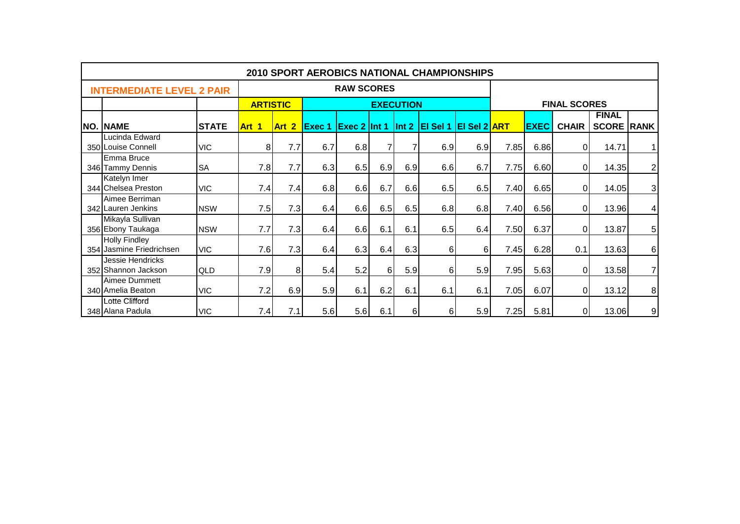|            |                                                  |              |                 |                  |               |                         |          |                  | <b>2010 SPORT AEROBICS NATIONAL CHAMPIONSHIPS</b> |                     |      |             |                     |                                   |                  |
|------------|--------------------------------------------------|--------------|-----------------|------------------|---------------|-------------------------|----------|------------------|---------------------------------------------------|---------------------|------|-------------|---------------------|-----------------------------------|------------------|
|            | <b>INTERMEDIATE LEVEL 2 PAIR</b>                 |              |                 |                  |               | <b>RAW SCORES</b>       |          |                  |                                                   |                     |      |             |                     |                                   |                  |
|            |                                                  |              | <b>ARTISTIC</b> |                  |               |                         |          | <b>EXECUTION</b> |                                                   |                     |      |             | <b>FINAL SCORES</b> |                                   |                  |
| <b>NO.</b> | <b>NAME</b>                                      | <b>STATE</b> | Art 1           | Art <sub>2</sub> | <b>Exec 1</b> | <b>Exec 2</b> $ $ Int 1 |          |                  | $ $ Int 2 $ $ El Sel 1                            | <b>EI Sel 2 ART</b> |      | <b>EXEC</b> | <b>CHAIR</b>        | <b>FINAL</b><br><b>SCORE RANK</b> |                  |
|            | Lucinda Edward<br>350 Louise Connell             | <b>VIC</b>   | 8 <sup>1</sup>  | 7.7              | 6.7           | 6.8                     | 7        |                  | 6.9                                               | 6.9                 | 7.85 | 6.86        | $\Omega$            | 14.71                             | 1 <sup>1</sup>   |
|            | Emma Bruce<br>346 Tammy Dennis                   | <b>SA</b>    | 7.8             | 7.7              | 6.3           | 6.5                     | 6.9      | 6.9              | 6.6                                               | 6.7                 | 7.75 | 6.60        | $\Omega$            | 14.35                             | $\mathbf{2}$     |
|            | Katelyn Imer<br>344 Chelsea Preston              | <b>VIC</b>   | 7.4             | 7.4              | 6.8           | 6.6                     | 6.7      | 6.6              | 6.5                                               | 6.5                 | 7.40 | 6.65        | $\Omega$            | 14.05                             | $\overline{3}$   |
|            | Aimee Berriman<br>342 Lauren Jenkins             | <b>NSW</b>   | 7.5             | 7.3              | 6.4           | 6.6                     | 6.5      | 6.5              | 6.8                                               | 6.8                 | 7.40 | 6.56        | $\Omega$            | 13.96                             | $\vert 4 \vert$  |
|            | Mikayla Sullivan<br>356 Ebony Taukaga            | <b>NSW</b>   | 7.7             | 7.3              | 6.4           | 6.6                     | 6.1      | 6.1              | 6.5                                               | 6.4                 | 7.50 | 6.37        | $\Omega$            | 13.87                             | 5 <sup>1</sup>   |
|            | <b>Holly Findley</b><br>354 Jasmine Friedrichsen | <b>VIC</b>   | 7.6             | 7.3              | 6.4           | 6.3                     | 6.4      | 6.3              | 6                                                 | 6                   | 7.45 | 6.28        | 0.1                 | 13.63                             | $6 \mid$         |
|            | Jessie Hendricks<br>352 Shannon Jackson          | <b>QLD</b>   | 7.9             | 8 <sup>1</sup>   | 5.4           | 5.2                     | $6 \mid$ | 5.9              | 6                                                 | 5.9                 | 7.95 | 5.63        | $\Omega$            | 13.58                             | $\overline{7}$   |
|            | Aimee Dummett<br>340 Amelia Beaton               | <b>VIC</b>   | 7.2             | 6.9              | 5.9           | 6.1                     | 6.2      | 6.1              | 6.1                                               | 6.1                 | 7.05 | 6.07        | $\Omega$            | 13.12                             | $\boldsymbol{8}$ |
|            | Lotte Clifford<br>348 Alana Padula               | <b>VIC</b>   | 7.4             | 7.1              | 5.6           | 5.6                     | 6.1      | $6 \mid$         | 6                                                 | 5.9                 | 7.25 | 5.81        | $\overline{0}$      | 13.06                             | 9                |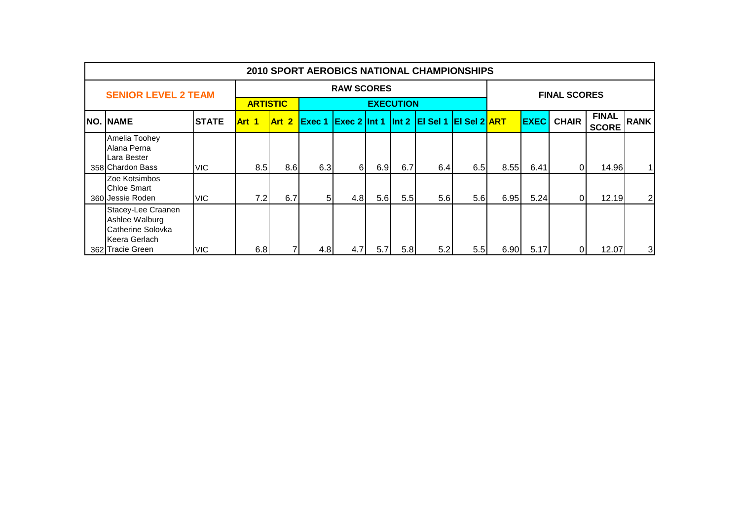|                                                                                                |              |       |                 |                   |                   |     |                  | 2010 SPORT AEROBICS NATIONAL CHAMPIONSHIPS      |                  |      |             |                     |                              |                |
|------------------------------------------------------------------------------------------------|--------------|-------|-----------------|-------------------|-------------------|-----|------------------|-------------------------------------------------|------------------|------|-------------|---------------------|------------------------------|----------------|
| <b>SENIOR LEVEL 2 TEAM</b>                                                                     |              |       |                 |                   | <b>RAW SCORES</b> |     |                  |                                                 |                  |      |             | <b>FINAL SCORES</b> |                              |                |
|                                                                                                |              |       | <b>ARTISTIC</b> |                   |                   |     | <b>EXECUTION</b> |                                                 |                  |      |             |                     |                              |                |
| NO. NAME                                                                                       | <b>STATE</b> | Art 1 | Art 2           | Exec <sub>1</sub> |                   |     |                  | <b>Exec 2 Int 1 Int 2 EI Sel 1 EI Sel 2 ART</b> |                  |      | <b>EXEC</b> | <b>CHAIR</b>        | <b>FINAL</b><br><b>SCORE</b> | <b>RANK</b>    |
| Amelia Toohey<br>Alana Perna<br>Lara Bester<br>358 Chardon Bass                                | <b>VIC</b>   | 8.5   | 8.6             | 6.3               | $6 \mid$          | 6.9 | 6.7              | 6.4                                             | 6.5              | 8.55 | 6.41        | $\Omega$            | 14.96                        | 1              |
| Zoe Kotsimbos<br><b>Chloe Smart</b><br>360 Jessie Roden                                        | VIC.         | 7.2   | 6.7             | 51                | 4.8               | 5.6 | 5.5              | 5.6                                             | 5.6              | 6.95 | 5.24        | $\Omega$            | 12.19                        | $\overline{2}$ |
| Stacey-Lee Craanen<br>Ashlee Walburg<br>Catherine Solovka<br>Keera Gerlach<br>362 Tracie Green | VIC.         | 6.8   |                 | 4.8               | 4.7               | 5.7 | 5.8              | 5.2                                             | 5.5 <sub>1</sub> | 6.90 | 5.17        |                     | 12.07                        | 3              |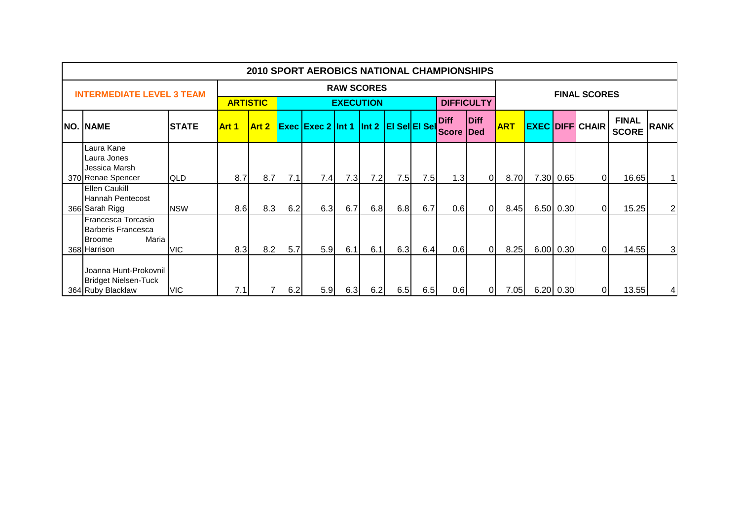|                                                                                    |              |                  |                 |     | <b>2010 SPORT AEROBICS NATIONAL CHAMPIONSHIPS</b> |     |                   |     |     |                      |                            |            |           |                        |                              |             |
|------------------------------------------------------------------------------------|--------------|------------------|-----------------|-----|---------------------------------------------------|-----|-------------------|-----|-----|----------------------|----------------------------|------------|-----------|------------------------|------------------------------|-------------|
| <b>INTERMEDIATE LEVEL 3 TEAM</b>                                                   |              |                  |                 |     |                                                   |     | <b>RAW SCORES</b> |     |     |                      |                            |            |           | <b>FINAL SCORES</b>    |                              |             |
|                                                                                    |              |                  | <b>ARTISTIC</b> |     |                                                   |     | <b>EXECUTION</b>  |     |     |                      | <b>DIFFICULTY</b>          |            |           |                        |                              |             |
| <b>NO. NAME</b>                                                                    | <b>STATE</b> | Art 1            | Art 2           |     | <b>Exec Exec 2 Int 1 Int 2 EI Sel EI Sell</b>     |     |                   |     |     | <b>Diff</b><br>Score | <b>Diff</b><br><b>IDed</b> | <b>ART</b> |           | <b>EXEC DIFF CHAIR</b> | <b>FINAL</b><br><b>SCORE</b> | <b>RANK</b> |
| Laura Kane<br>Laura Jones<br>Jessica Marsh<br>370 Renae Spencer                    | <b>QLD</b>   | 8.7              | 8.7             | 7.1 | 7.4                                               | 7.3 | 7.2               | 7.5 | 7.5 | 1.3                  | $\overline{0}$             | 8.70       | 7.30 0.65 | $\Omega$               | 16.65                        |             |
| <b>Ellen Caukill</b><br>Hannah Pentecost<br>366 Sarah Rigg                         | <b>NSW</b>   | 8.6              | 8.3             | 6.2 | 6.3                                               | 6.7 | 6.8               | 6.8 | 6.7 | 0.6                  | $\overline{0}$             | 8.45       | 6.50 0.30 | $\Omega$               | 15.25                        | 2           |
| Francesca Torcasio<br>Barberis Francesca<br>Maria<br><b>Broome</b><br>368 Harrison | <b>VIC</b>   | 8.3 <sub>l</sub> | 8.2             | 5.7 | 5.9                                               | 6.1 | 6.1               | 6.3 | 6.4 | 0.6                  | $\overline{0}$             | 8.25       | 6.00 0.30 | $\Omega$               | 14.55                        | 3           |
| Joanna Hunt-Prokovnil<br><b>Bridget Nielsen-Tuck</b><br>364 Ruby Blacklaw          | <b>VIC</b>   | 7.1              |                 | 6.2 | 5.9                                               | 6.3 | 6.2               | 6.5 | 6.5 | 0.6                  | $\overline{0}$             | 7.05       | 6.20 0.30 | 01                     | 13.55                        |             |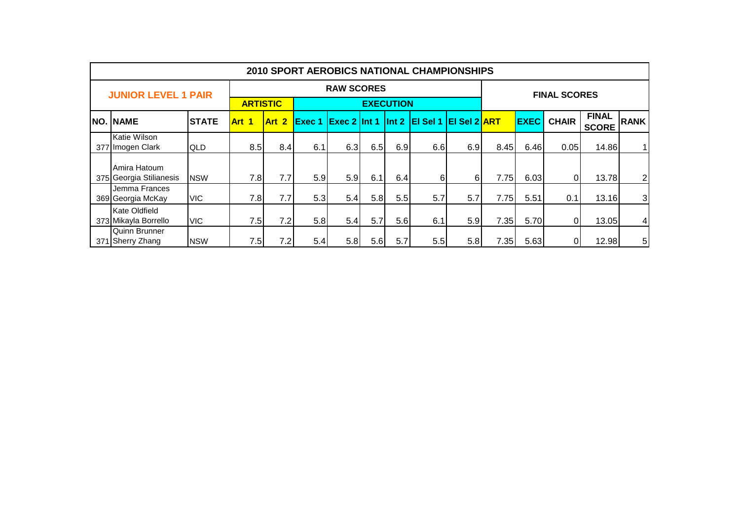|      |                                              |              |                 |       |                   |                   |     |                  | <b>2010 SPORT AEROBICS NATIONAL CHAMPIONSHIPS</b> |     |      |             |                     |                              |                |
|------|----------------------------------------------|--------------|-----------------|-------|-------------------|-------------------|-----|------------------|---------------------------------------------------|-----|------|-------------|---------------------|------------------------------|----------------|
|      | <b>JUNIOR LEVEL 1 PAIR</b>                   |              |                 |       |                   | <b>RAW SCORES</b> |     |                  |                                                   |     |      |             | <b>FINAL SCORES</b> |                              |                |
|      |                                              |              | <b>ARTISTIC</b> |       |                   |                   |     | <b>EXECUTION</b> |                                                   |     |      |             |                     |                              |                |
| INO. | <b>NAME</b>                                  | <b>STATE</b> | Art 1           | Art 2 | Exec <sub>1</sub> | $Exec 2$ Int 1    |     |                  | $\ln t$ 2 El Sel 1 El Sel 2 ART                   |     |      | <b>EXEC</b> | <b>CHAIR</b>        | <b>FINAL</b><br><b>SCORE</b> | <b>RANK</b>    |
|      | Katie Wilson<br>377 Imogen Clark             | <b>QLD</b>   | 8.5             | 8.4   | 6.1               | 6.3               | 6.5 | 6.9              | 6.6                                               | 6.9 | 8.45 | 6.46        | 0.05                | 14.86                        |                |
|      | Amira Hatoum<br>375 Georgia Stilianesis      | <b>NSW</b>   | 7.8             | 7.7   | 5.9               | 5.9               | 6.1 | 6.4              | 6                                                 | 61  | 7.75 | 6.03        |                     | 13.78                        | $\overline{2}$ |
|      | Jemma Frances<br>369 Georgia McKay           | <b>VIC</b>   | 7.8             | 7.7   | 5.3               | 5.4               | 5.8 | 5.5              | 5.7                                               | 5.7 | 7.75 | 5.51        | 0.1                 | 13.16                        | $\overline{3}$ |
|      | <b>Kate Oldfield</b><br>373 Mikayla Borrello | <b>VIC</b>   | 7.5             | 7.2   | 5.8               | 5.4               | 5.7 | 5.6              | 6.1                                               | 5.9 | 7.35 | 5.70        |                     | 13.05                        | 4              |
| 371  | Quinn Brunner<br>1 Sherry Zhang              | <b>NSW</b>   | 7.5             | 7.2   | 5.4               | 5.8               | 5.6 | 5.7              | 5.5                                               | 5.8 | 7.35 | 5.63        |                     | 12.98                        | 5              |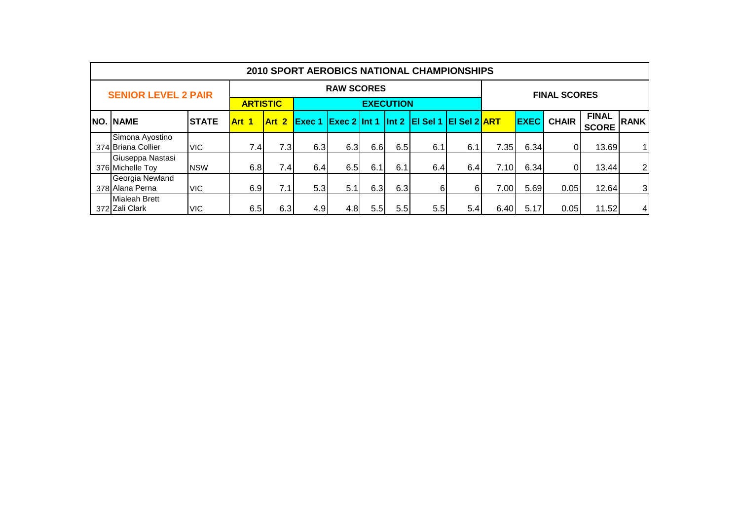|     |                                        |              |                 |       |     |                   |      |                  | <b>2010 SPORT AEROBICS NATIONAL CHAMPIONSHIPS</b>      |     |      |             |                     |                              |                |
|-----|----------------------------------------|--------------|-----------------|-------|-----|-------------------|------|------------------|--------------------------------------------------------|-----|------|-------------|---------------------|------------------------------|----------------|
|     | <b>SENIOR LEVEL 2 PAIR</b>             |              |                 |       |     | <b>RAW SCORES</b> |      |                  |                                                        |     |      |             | <b>FINAL SCORES</b> |                              |                |
|     |                                        |              | <b>ARTISTIC</b> |       |     |                   |      | <b>EXECUTION</b> |                                                        |     |      |             |                     |                              |                |
| NO. | .  NAME                                | <b>STATE</b> | Art 1           | Art 2 |     |                   |      |                  | <b>Exec 1 Exec 2 Int 1 Int 2 EI Sel 1 EI Sel 2 ART</b> |     |      | <b>EXEC</b> | <b>CHAIR</b>        | <b>FINAL</b><br><b>SCORE</b> | <b>RANK</b>    |
|     | Simona Ayostino<br>374 Briana Collier  | <b>VIC</b>   | 7.4             | 7.3   | 6.3 | 6.3               | 6.6  | 6.5              | 6.1                                                    | 6.1 | 7.35 | 6.34        |                     | 13.69                        | 11             |
|     | Giuseppa Nastasi<br>376 Michelle Toy   | <b>NSW</b>   | 6.8             | 7.4   | 6.4 | 6.5               | 6.1  | 6.1              | 6.4                                                    | 6.4 | 7.10 | 6.34        |                     | 13.44                        | $\overline{2}$ |
|     | Georgia Newland<br>378 Alana Perna     | <b>VIC</b>   | 6.9             | 7.1   | 5.3 | 5.11              | 6.3  | 6.3              | 61                                                     | 6   | 7.00 | 5.69        | 0.05                | 12.64                        | $\overline{3}$ |
|     | <b>Mialeah Brett</b><br>372 Zali Clark | VIC.         | 6.5             | 6.3   | 4.9 | 4.8               | 5.51 | 5.5              | 5.5                                                    | 5.4 | 6.40 | 5.17        | 0.05                | 11.52                        | $\overline{4}$ |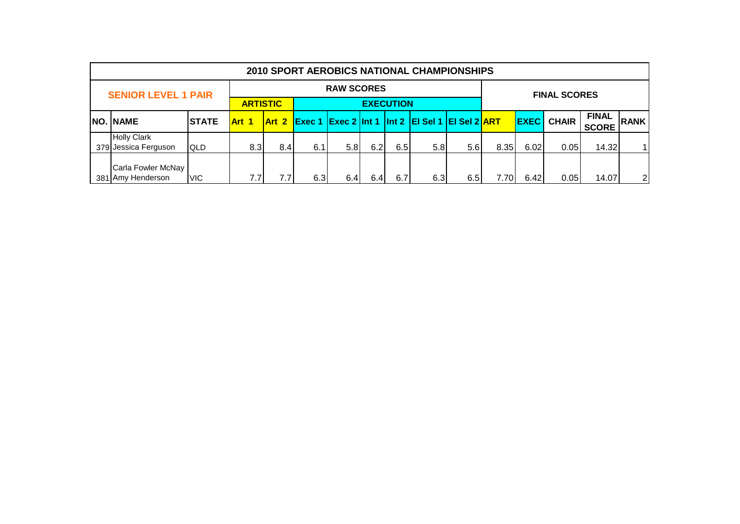|                                            |               |              |                  |     |                   |     |     | <b>2010 SPORT AEROBICS NATIONAL CHAMPIONSHIPS</b> |     |                        |             |                     |                              |                |
|--------------------------------------------|---------------|--------------|------------------|-----|-------------------|-----|-----|---------------------------------------------------|-----|------------------------|-------------|---------------------|------------------------------|----------------|
| <b>SENIOR LEVEL 1 PAIR</b>                 |               |              |                  |     | <b>RAW SCORES</b> |     |     |                                                   |     |                        |             | <b>FINAL SCORES</b> |                              |                |
| <b>ARTISTIC</b><br><b>EXECUTION</b>        |               |              |                  |     |                   |     |     |                                                   |     |                        |             |                     |                              |                |
| NO. NAME                                   | <b>ISTATE</b> | <b>Art 1</b> | Art 2            |     |                   |     |     | Exec 1 Exec 2 Int 1 Int 2 EI Sel 1 EI Sel 2 ART   |     |                        | <b>EXEC</b> | <b>CHAIR</b>        | <b>FINAL</b><br><b>SCORE</b> | <b>RANK</b>    |
| <b>Holly Clark</b><br>379 Jessica Ferguson | <b>QLD</b>    | 8.3          | 8.4              | 6.1 | 5.81              | 6.2 | 6.5 | 5.8                                               | 5.6 | 8.35                   | 6.02        | 0.05                | 14.32                        |                |
| Carla Fowler McNay<br>381 Amy Henderson    | <b>VIC</b>    | 7.7          | 7.7 <sub>1</sub> | 6.3 | 6.4               | 6.4 | 6.7 | 6.3                                               | 6.5 | $'$ .70 $\blacksquare$ | 6.42        | 0.05                | 14.07                        | 2 <sub>l</sub> |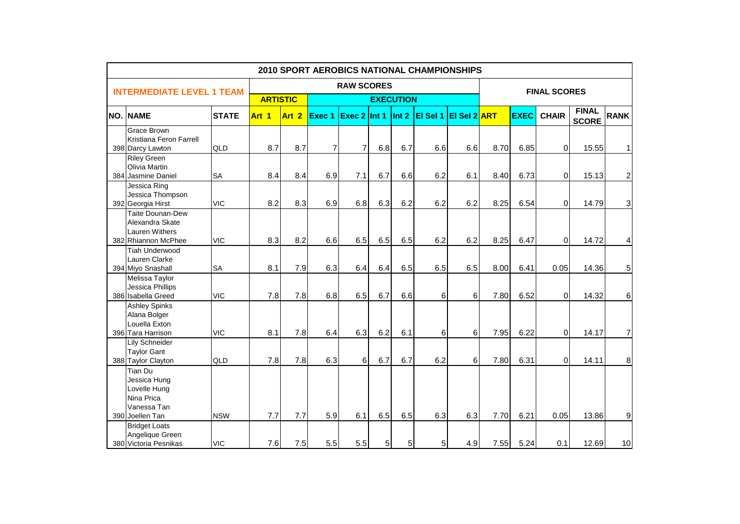|      |                                                                                         |              |                 |                  |                |                     |     |                  | 2010 SPORT AEROBICS NATIONAL CHAMPIONSHIPS |          |      |             |                |                              |             |
|------|-----------------------------------------------------------------------------------------|--------------|-----------------|------------------|----------------|---------------------|-----|------------------|--------------------------------------------|----------|------|-------------|----------------|------------------------------|-------------|
|      | <b>INTERMEDIATE LEVEL 1 TEAM</b>                                                        |              |                 |                  |                | <b>FINAL SCORES</b> |     |                  |                                            |          |      |             |                |                              |             |
|      |                                                                                         |              | <b>ARTISTIC</b> |                  |                |                     |     | <b>EXECUTION</b> |                                            |          |      |             |                |                              |             |
| INO. | <b>NAME</b>                                                                             | <b>STATE</b> | Art 1           | Art <sub>2</sub> | Exec 1         | Exec $2$ Int 1      |     | Int 2            | EI Sel 1 EI Sel 2 ART                      |          |      | <b>EXEC</b> | <b>CHAIR</b>   | <b>FINAL</b><br><b>SCORE</b> | <b>RANK</b> |
|      | <b>Grace Brown</b><br>Kristiana Feron Farrell<br>398 Darcy Lawton                       | QLD          | 8.7             | 8.7              | $\overline{7}$ | $\overline{7}$      | 6.8 | 6.7              | 6.6                                        | 6.6      | 8.70 | 6.85        | $\overline{0}$ | 15.55                        | 1           |
|      | <b>Riley Green</b><br>Olivia Martin<br>384 Jasmine Daniel                               | <b>SA</b>    | 8.4             | 8.4              | 6.9            | 7.1                 | 6.7 | 6.6              | 6.2                                        | 6.1      | 8.40 | 6.73        | 0l             | 15.13                        | 2           |
|      | Jessica Ring<br>Jessica Thompson<br>392 Georgia Hirst                                   | <b>VIC</b>   | 8.2             | 8.3              | 6.9            | 6.8                 | 6.3 | 6.2              | 6.2                                        | 6.2      | 8.25 | 6.54        | $\overline{0}$ | 14.79                        | 3           |
|      | <b>Taite Dounan-Dew</b><br>Alexandra Skate<br>Lauren Withers<br>382 Rhiannon McPhee     | <b>VIC</b>   | 8.3             | 8.2              | 6.6            | 6.5                 | 6.5 | 6.5              | 6.2                                        | 6.2      | 8.25 | 6.47        | $\overline{0}$ | 14.72                        | 4           |
|      | <b>Tiah Underwood</b><br>Lauren Clarke<br>394 Miyo Snashall                             | <b>SA</b>    | 8.1             | 7.9              | 6.3            | 6.4                 | 6.4 | 6.5              | 6.5                                        | 6.5      | 8.00 | 6.41        | 0.05           | 14.36                        | 5           |
|      | Melissa Taylor<br>Jessica Phillips<br>386 Isabella Greed                                | <b>VIC</b>   | 7.8             | 7.8              | 6.8            | 6.5                 | 6.7 | 6.6              | 6                                          | 6        | 7.80 | 6.52        | $\Omega$       | 14.32                        | 6           |
|      | <b>Ashley Spinks</b><br>Alana Bolger<br>Louella Exton<br>396 Tara Harrison              | <b>VIC</b>   | 8.1             | 7.8              | 6.4            | 6.3                 | 6.2 | 6.1              | 6                                          | 6        | 7.95 | 6.22        | 0l             | 14.17                        | 7           |
|      | Lily Schneider<br><b>Taylor Gant</b><br>388 Taylor Clayton                              | QLD          | 7.8             | 7.8              | 6.3            | 6                   | 6.7 | 6.7              | 6.2                                        | $6 \mid$ | 7.80 | 6.31        | $\overline{0}$ | 14.11                        | 8           |
|      | Tian Du<br>Jessica Hung<br>Lovelle Hung<br>Nina Prica<br>Vanessa Tan<br>390 Joellen Tan | <b>NSW</b>   | 7.7             | 7.7              | 5.9            | 6.1                 | 6.5 | 6.5              | 6.3                                        | 6.3      | 7.70 | 6.21        | 0.05           | 13.86                        | 9           |
|      | <b>Bridget Loats</b><br>Angelique Green<br>380 Victoria Pesnikas                        | <b>VIC</b>   | 7.6             | 7.5              | 5.5            | 5.5                 | 5   | 5                | 5                                          | 4.9      | 7.55 | 5.24        | 0.1            | 12.69                        | 10          |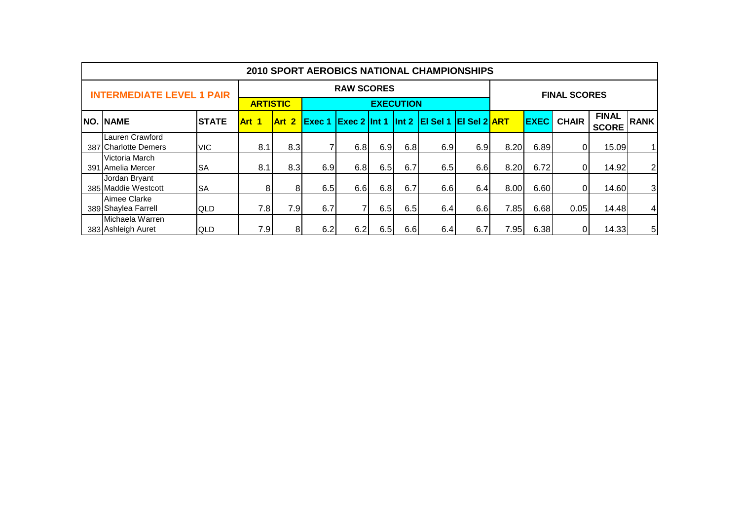| 2010 SPORT AEROBICS NATIONAL CHAMPIONSHIPS |              |                 |                |                   |                     |     |                  |                             |     |      |             |              |                              |                |
|--------------------------------------------|--------------|-----------------|----------------|-------------------|---------------------|-----|------------------|-----------------------------|-----|------|-------------|--------------|------------------------------|----------------|
| <b>INTERMEDIATE LEVEL 1 PAIR</b>           |              |                 |                | <b>RAW SCORES</b> | <b>FINAL SCORES</b> |     |                  |                             |     |      |             |              |                              |                |
|                                            |              | <b>ARTISTIC</b> |                |                   |                     |     | <b>EXECUTION</b> |                             |     |      |             |              |                              |                |
| <b>NO. NAME</b>                            | <b>STATE</b> | Art 1           | Art 2          | Exec 1            | $Exec 2$ Int 1      |     |                  | Int 2 El Sel 1 El Sel 2 ART |     |      | <b>EXEC</b> | <b>CHAIR</b> | <b>FINAL</b><br><b>SCORE</b> | <b>RANK</b>    |
| Lauren Crawford<br>387 Charlotte Demers    | <b>VIC</b>   | 8.1             | 8.3            |                   | 6.8                 | 6.9 | 6.8              | 6.9                         | 6.9 | 8.20 | 6.89        |              | 15.09                        |                |
| Victoria March<br>391 Amelia Mercer        | <b>SA</b>    | 8.1             | 8.3            | 6.9               | 6.8                 | 6.5 | 6.7              | 6.5                         | 6.6 | 8.20 | 6.72        |              | 14.92                        | 2 <sub>1</sub> |
| Jordan Bryant<br>385 Maddie Westcott       | <b>SA</b>    | 81              | 8 <sup>1</sup> | 6.5               | 6.6                 | 6.8 | 6.7              | 6.6                         | 6.4 | 8.00 | 6.60        |              | 14.60                        | 3 <sup>1</sup> |
| Aimee Clarke<br>389 Shaylea Farrell        | <b>QLD</b>   | 7.8             | 7.9            | 6.7               |                     | 6.5 | 6.5              | 6.4                         | 6.6 | 7.85 | 6.68        | 0.05         | 14.48                        | 4 <sup>1</sup> |
| Michaela Warren<br>383 Ashleigh Auret      | <b>QLD</b>   | 7.9             | 8 <sup>1</sup> | 6.2               | 6.2                 | 6.5 | 6.6              | 6.4                         | 6.7 | 7.95 | 6.38        |              | 14.33                        | 5              |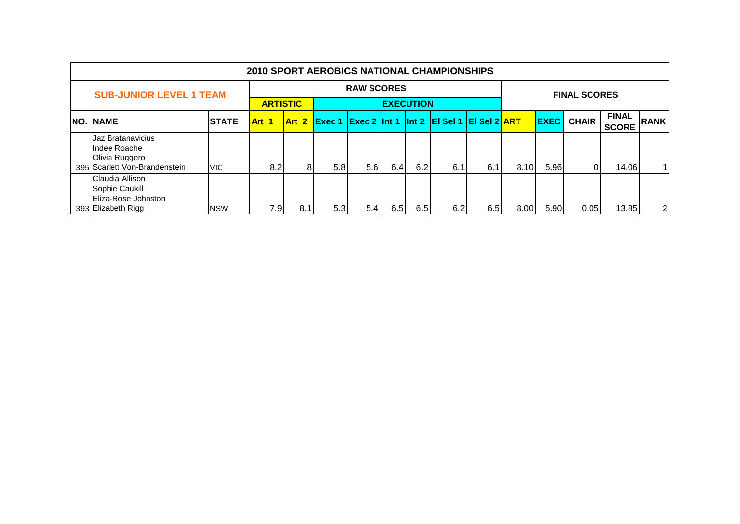| <b>2010 SPORT AEROBICS NATIONAL CHAMPIONSHIPS</b>                                    |                 |       |       |                   |                     |                  |     |                                                                                                                       |     |      |             |              |                              |             |
|--------------------------------------------------------------------------------------|-----------------|-------|-------|-------------------|---------------------|------------------|-----|-----------------------------------------------------------------------------------------------------------------------|-----|------|-------------|--------------|------------------------------|-------------|
| <b>SUB-JUNIOR LEVEL 1 TEAM</b>                                                       |                 |       |       | <b>RAW SCORES</b> | <b>FINAL SCORES</b> |                  |     |                                                                                                                       |     |      |             |              |                              |             |
|                                                                                      | <b>ARTISTIC</b> |       |       |                   |                     | <b>EXECUTION</b> |     |                                                                                                                       |     |      |             |              |                              |             |
| NO. NAME                                                                             | <b>ISTATE</b>   | Art 1 | Art 2 | Exec 1            |                     |                  |     | $\left  \frac{\text{Exec 2}}{\text{Int 1}} \right $ Int 2 $\left  \frac{\text{EI Sel 1}}{\text{E}} \right $ Sel 2 ART |     |      | <b>EXEC</b> | <b>CHAIR</b> | <b>FINAL</b><br><b>SCORE</b> | <b>RANK</b> |
| Jaz Bratanavicius<br>Indee Roache<br>Olivia Ruggero<br>395 Scarlett Von-Brandenstein | <b>VIC</b>      | 8.2   | 8.    | 5.8               | 5.6                 | 6.4              | 6.2 | 6.1                                                                                                                   | 6.1 | 8.10 | 5.96        |              | 14.06                        | 1           |
| Claudia Allison<br>Sophie Caukill<br>Eliza-Rose Johnston<br>393 Elizabeth Rigg       | <b>NSW</b>      | 7.9   | 8.1   | 5.3               | 5.41                | 6.5              | 6.5 | 6.2                                                                                                                   | 6.5 | 8.00 | 5.90        | 0.05         | 13.85                        | 2           |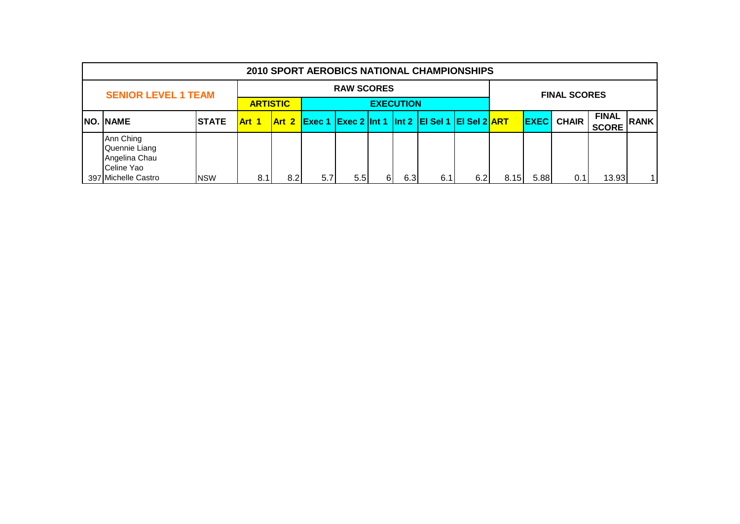|  | 2010 SPORT AEROBICS NATIONAL CHAMPIONSHIPS                                       |            |                 |                  |                   |                     |    |                  |                                                 |      |       |             |              |                              |             |
|--|----------------------------------------------------------------------------------|------------|-----------------|------------------|-------------------|---------------------|----|------------------|-------------------------------------------------|------|-------|-------------|--------------|------------------------------|-------------|
|  | <b>SENIOR LEVEL 1 TEAM</b>                                                       |            |                 |                  | <b>RAW SCORES</b> | <b>FINAL SCORES</b> |    |                  |                                                 |      |       |             |              |                              |             |
|  |                                                                                  |            | <b>ARTISTIC</b> |                  |                   |                     |    | <b>EXECUTION</b> |                                                 |      |       |             |              |                              |             |
|  | <b>NO. NAME</b>                                                                  | ISTATE     | <b>Art 1</b>    | <b>Art 2</b>     |                   |                     |    |                  | Exec 1 Exec 2 Int 1 Int 2 EI Sel 1 EI Sel 2 ART |      |       | <b>EXEC</b> | <b>CHAIR</b> | <b>FINAL</b><br><b>SCORE</b> | <b>RANK</b> |
|  | Ann Ching<br>Quennie Liang<br>Angelina Chau<br>Celine Yao<br>397 Michelle Castro | <b>NSW</b> | 8.1             | 8.2 <sub>l</sub> | 5.7 <sub>l</sub>  | 5.5                 | 6I | 6.3              | 6.1                                             | 6.21 | 8.15I | 5.88        | 0.1          | 13.93                        |             |